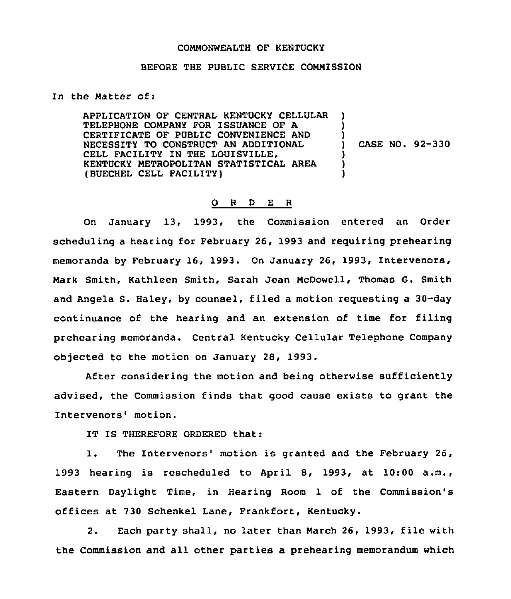## COMMONWEALTH OF KENTUCKY

## BEFORE THE PUBLIC SERVICE COMMISSION

## In the Matter of:

APPLICATION OF CENTRAL KENTUCKY CELLULAR TELEPHONE COMPANY FOR ISSUANCE OF A CERTIFICATE OF PUBLIC CONVENIENCE AND NECESSITY TO CONSTRUCT AN ADDITIONAL CELL FACILITY IN THE LOUISVILLE. KENTUCKY METROPOLITAN STATISTICAL AREA (BUECHEL CELL FACILITY) ) ) ) ) CASE NO. 92-330 ) ) )

## 0 <sup>R</sup> <sup>D</sup> E <sup>R</sup>

On January 13, 1993, the Commission entered an Order scheduling a hearing for February 26, 1993 and requiring prehearing memoranda by February 16, 1993. On January 26, 1993, Intervenors, Nark Smith, Kathleen Smith, Sarah Jean McDowell, Thomas G. Smith and Angela S. Haley, by counsel, filed a motion requesting a 30-day continuance of the hearing and an extension of time for filing prehearing memoranda. Central Kentucky Cellular Telephone Company objected to the motion on January 2S, 1993.

After considering the motion and being otherwise sufficiently advised, the Commission finds that good cause exists to grant the Intervenors' motion.

IT IS THEREFORE ORDERED that:

1. The Intervenors' motion is granted and the February 26, 1993 hearing is rescheduled to April 8, 1993, at 10:00 a.m., Eastern Daylight Time, in Hearing Room 1 of the Commission's offices at 730 Schenkel Lane, Frankfort, Kentucky.

2. Each party shall, no later than March 26, 1993, file with the Commission and all other parties a prehearing memorandum which